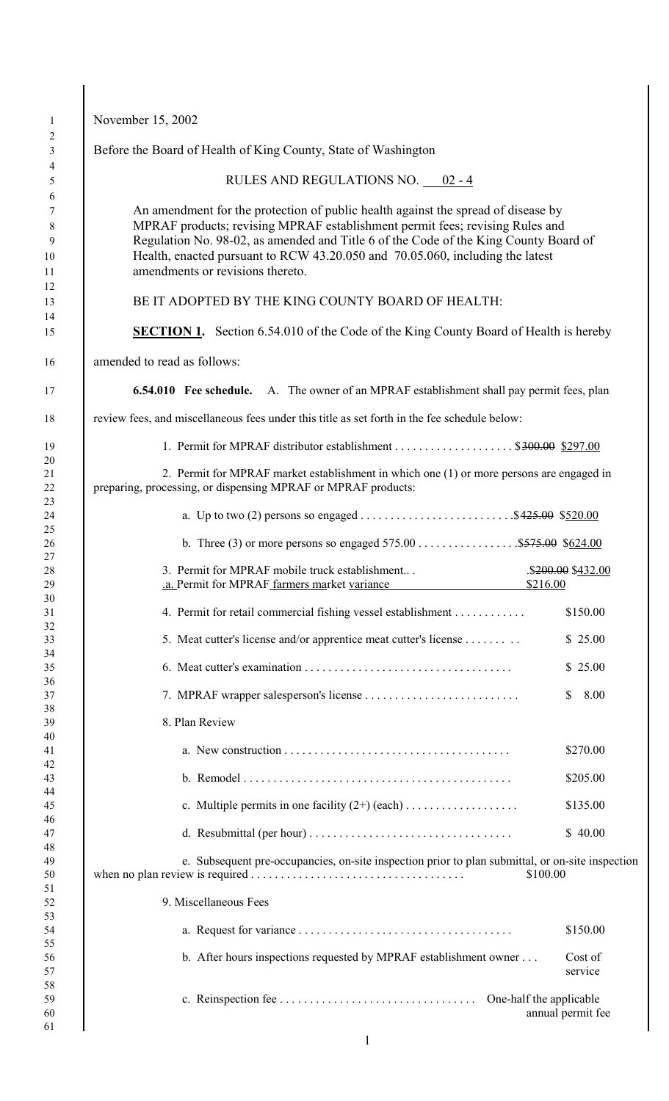| Before the Board of Health of King County, State of Washington                                                                                                                                                                                                                                                                                                                 |                                |
|--------------------------------------------------------------------------------------------------------------------------------------------------------------------------------------------------------------------------------------------------------------------------------------------------------------------------------------------------------------------------------|--------------------------------|
| RULES AND REGULATIONS NO. 02 - 4                                                                                                                                                                                                                                                                                                                                               |                                |
| An amendment for the protection of public health against the spread of disease by<br>MPRAF products; revising MPRAF establishment permit fees; revising Rules and<br>Regulation No. 98-02, as amended and Title 6 of the Code of the King County Board of<br>Health, enacted pursuant to RCW 43.20.050 and 70.05.060, including the latest<br>amendments or revisions thereto. |                                |
| BE IT ADOPTED BY THE KING COUNTY BOARD OF HEALTH:                                                                                                                                                                                                                                                                                                                              |                                |
| <b>SECTION 1.</b> Section 6.54.010 of the Code of the King County Board of Health is hereby                                                                                                                                                                                                                                                                                    |                                |
| amended to read as follows:                                                                                                                                                                                                                                                                                                                                                    |                                |
| <b>6.54.010</b> Fee schedule. A. The owner of an MPRAF establishment shall pay permit fees, plan                                                                                                                                                                                                                                                                               |                                |
| review fees, and miscellaneous fees under this title as set forth in the fee schedule below:                                                                                                                                                                                                                                                                                   |                                |
| 1. Permit for MPRAF distributor establishment \$300.00 \$297.00                                                                                                                                                                                                                                                                                                                |                                |
| 2. Permit for MPRAF market establishment in which one (1) or more persons are engaged in<br>preparing, processing, or dispensing MPRAF or MPRAF products:                                                                                                                                                                                                                      |                                |
|                                                                                                                                                                                                                                                                                                                                                                                |                                |
| b. Three (3) or more persons so engaged $575.00$ \$575.00 \$624.00                                                                                                                                                                                                                                                                                                             |                                |
| 3. Permit for MPRAF mobile truck establishment<br>.a. Permit for MPRAF farmers market variance                                                                                                                                                                                                                                                                                 | \$200.00 \$432.00<br>\$216.00  |
| 4. Permit for retail commercial fishing vessel establishment                                                                                                                                                                                                                                                                                                                   | \$150.00                       |
| 5. Meat cutter's license and/or apprentice meat cutter's license                                                                                                                                                                                                                                                                                                               | \$25.00                        |
|                                                                                                                                                                                                                                                                                                                                                                                | \$25.00                        |
|                                                                                                                                                                                                                                                                                                                                                                                | 8.00<br>S                      |
| 8. Plan Review                                                                                                                                                                                                                                                                                                                                                                 |                                |
|                                                                                                                                                                                                                                                                                                                                                                                | \$270.00                       |
|                                                                                                                                                                                                                                                                                                                                                                                | \$205.00                       |
|                                                                                                                                                                                                                                                                                                                                                                                | \$135.00                       |
|                                                                                                                                                                                                                                                                                                                                                                                | \$40.00                        |
|                                                                                                                                                                                                                                                                                                                                                                                |                                |
| e. Subsequent pre-occupancies, on-site inspection prior to plan submittal, or on-site inspection                                                                                                                                                                                                                                                                               | \$100.00                       |
| 9. Miscellaneous Fees                                                                                                                                                                                                                                                                                                                                                          |                                |
|                                                                                                                                                                                                                                                                                                                                                                                |                                |
| b. After hours inspections requested by MPRAF establishment owner                                                                                                                                                                                                                                                                                                              | \$150.00<br>Cost of<br>service |